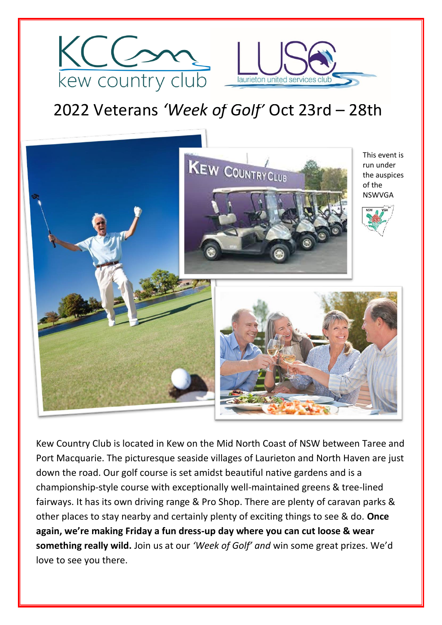



# 2022 Veterans *'Week of Golf'* Oct 23rd – 28th



Kew Country Club is located in Kew on the Mid North Coast of NSW between Taree and Port Macquarie. The picturesque seaside villages of Laurieton and North Haven are just down the road. Our golf course is set amidst beautiful native gardens and is a championship-style course with exceptionally well-maintained greens & tree-lined fairways. It has its own driving range & Pro Shop. There are plenty of caravan parks & other places to stay nearby and certainly plenty of exciting things to see & do. **Once again, we're making Friday a fun dress-up day where you can cut loose & wear something really wild.** Join us at our *'Week of Golf' and* win some great prizes. We'd love to see you there.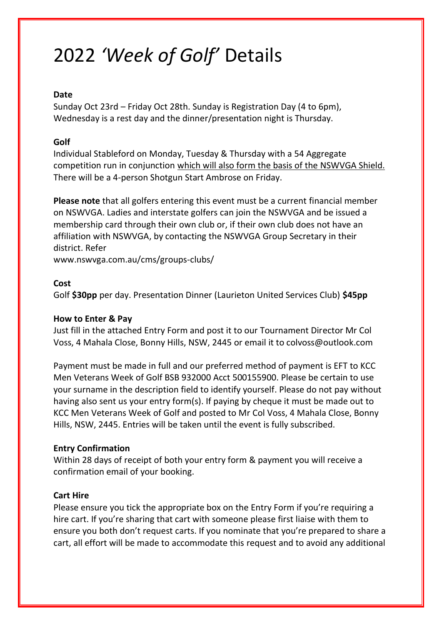# 2022 *'Week of Golf'* Details

### **Date**

Sunday Oct 23rd – Friday Oct 28th. Sunday is Registration Day (4 to 6pm), Wednesday is a rest day and the dinner/presentation night is Thursday.

## **Golf**

Individual Stableford on Monday, Tuesday & Thursday with a 54 Aggregate competition run in conjunction which will also form the basis of the NSWVGA Shield. There will be a 4-person Shotgun Start Ambrose on Friday.

**Please note** that all golfers entering this event must be a current financial member on NSWVGA. Ladies and interstate golfers can join the NSWVGA and be issued a membership card through their own club or, if their own club does not have an affiliation with NSWVGA, by contacting the NSWVGA Group Secretary in their district. Refer

www.nswvga.com.au/cms/groups-clubs/

#### **Cost**

Golf **\$30pp** per day. Presentation Dinner (Laurieton United Services Club) **\$45pp**

#### **How to Enter & Pay**

Just fill in the attached Entry Form and post it to our Tournament Director Mr Col Voss, 4 Mahala Close, Bonny Hills, NSW, 2445 or email it to colvoss@outlook.com

Payment must be made in full and our preferred method of payment is EFT to KCC Men Veterans Week of Golf BSB 932000 Acct 500155900. Please be certain to use your surname in the description field to identify yourself. Please do not pay without having also sent us your entry form(s). If paying by cheque it must be made out to KCC Men Veterans Week of Golf and posted to Mr Col Voss, 4 Mahala Close, Bonny Hills, NSW, 2445. Entries will be taken until the event is fully subscribed.

# **Entry Confirmation**

Within 28 days of receipt of both your entry form & payment you will receive a confirmation email of your booking.

#### **Cart Hire**

Please ensure you tick the appropriate box on the Entry Form if you're requiring a hire cart. If you're sharing that cart with someone please first liaise with them to ensure you both don't request carts. If you nominate that you're prepared to share a cart, all effort will be made to accommodate this request and to avoid any additional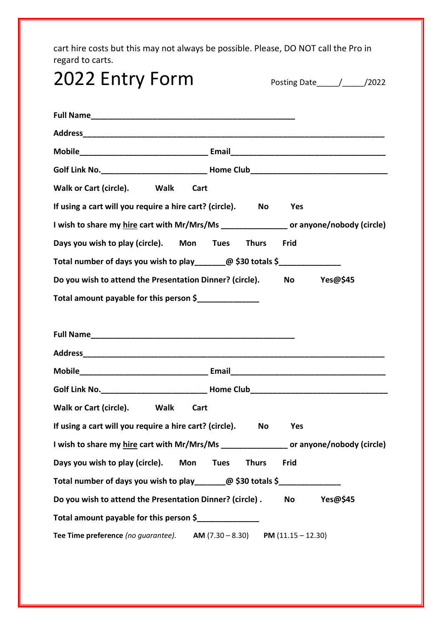cart hire costs but this may not always be possible. Please, DO NOT call the Pro in regard to carts.

| 2022 Entry Form                                                                          |                             |           |          |
|------------------------------------------------------------------------------------------|-----------------------------|-----------|----------|
|                                                                                          |                             |           |          |
|                                                                                          |                             |           |          |
|                                                                                          |                             |           |          |
| Walk or Cart (circle). Walk<br>Cart                                                      |                             |           |          |
| If using a cart will you require a hire cart? (circle). No                               |                             | Yes       |          |
| I wish to share my hire cart with Mr/Mrs/Ms ________________ or anyone/nobody (circle)   |                             |           |          |
| Days you wish to play (circle). Mon Tues Thurs Frid                                      |                             |           |          |
| Total number of days you wish to play_______@ \$30 totals \$______________               |                             |           |          |
| Do you wish to attend the Presentation Dinner? (circle). No Yes@\$45                     |                             |           |          |
| Total amount payable for this person \$                                                  |                             |           |          |
|                                                                                          |                             |           |          |
|                                                                                          |                             |           |          |
|                                                                                          |                             |           |          |
|                                                                                          |                             |           |          |
|                                                                                          |                             |           |          |
| Walk or Cart (circle).<br><b>Walk</b><br>Cart                                            |                             |           |          |
| If using a cart will you require a hire cart? (circle).                                  | No                          | Yes       |          |
| I wish to share my hire cart with Mr/Mrs/Ms __________________ or anyone/nobody (circle) |                             |           |          |
| Days you wish to play (circle). Mon                                                      | <b>Tues</b><br><b>Thurs</b> | Frid      |          |
| Total number of days you wish to play________@ \$30 totals \$________________            |                             |           |          |
| Do you wish to attend the Presentation Dinner? (circle).                                 |                             | <b>No</b> | Yes@\$45 |
| Total amount payable for this person \$______________                                    |                             |           |          |
| Tee Time preference (no guarantee). AM $(7.30 - 8.30)$ PM $(11.15 - 12.30)$              |                             |           |          |